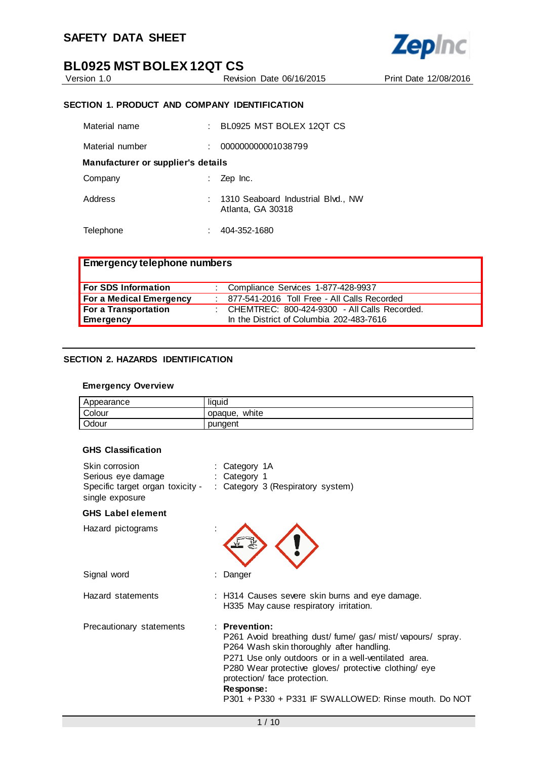

# **BL0925 MST BOLEX 12QT CS**<br>Version 1.0<br>Revisi

Revision Date 06/16/2015 Print Date 12/08/2016

# **SECTION 1. PRODUCT AND COMPANY IDENTIFICATION**

| Material name                      | BL0925 MST BOLEX 12QT CS                                  |
|------------------------------------|-----------------------------------------------------------|
| Material number                    | 000000000001038799                                        |
| Manufacturer or supplier's details |                                                           |
| Company                            | Zep Inc.                                                  |
| Address                            | : 1310 Seaboard Industrial Blvd., NW<br>Atlanta, GA 30318 |
| Telephone                          | 404-352-1680                                              |

| <b>Emergency telephone numbers</b> |                                                |
|------------------------------------|------------------------------------------------|
| For SDS Information                | : Compliance Services 1-877-428-9937           |
| For a Medical Emergency            | : 877-541-2016 Toll Free - All Calls Recorded  |
| For a Transportation               | : CHEMTREC: 800-424-9300 - All Calls Recorded. |
| Emergency                          | In the District of Columbia 202-483-7616       |

## **SECTION 2. HAZARDS IDENTIFICATION**

## **Emergency Overview**

| Appearance | liauid           |
|------------|------------------|
| Colour     | white<br>opaque, |
| Odour      | pungent          |

#### **GHS Classification**

| Skin corrosion<br>Serious eye damage<br>Specific target organ toxicity -<br>single exposure | : Category 1A<br>: Category 1<br>: Category 3 (Respiratory system)                                                                                                                                                                                                                                                                                |
|---------------------------------------------------------------------------------------------|---------------------------------------------------------------------------------------------------------------------------------------------------------------------------------------------------------------------------------------------------------------------------------------------------------------------------------------------------|
| <b>GHS Label element</b>                                                                    |                                                                                                                                                                                                                                                                                                                                                   |
| Hazard pictograms                                                                           |                                                                                                                                                                                                                                                                                                                                                   |
| Signal word                                                                                 | Danger                                                                                                                                                                                                                                                                                                                                            |
| Hazard statements                                                                           | : H314 Causes severe skin burns and eye damage.<br>H335 May cause respiratory irritation.                                                                                                                                                                                                                                                         |
| Precautionary statements                                                                    | $:$ Prevention:<br>P261 Avoid breathing dust/ fume/ gas/ mist/ vapours/ spray.<br>P264 Wash skin thoroughly after handling.<br>P271 Use only outdoors or in a well-ventilated area.<br>P280 Wear protective gloves/ protective clothing/ eye<br>protection/ face protection.<br>Response:<br>P301 + P330 + P331 IF SWALLOWED: Rinse mouth. Do NOT |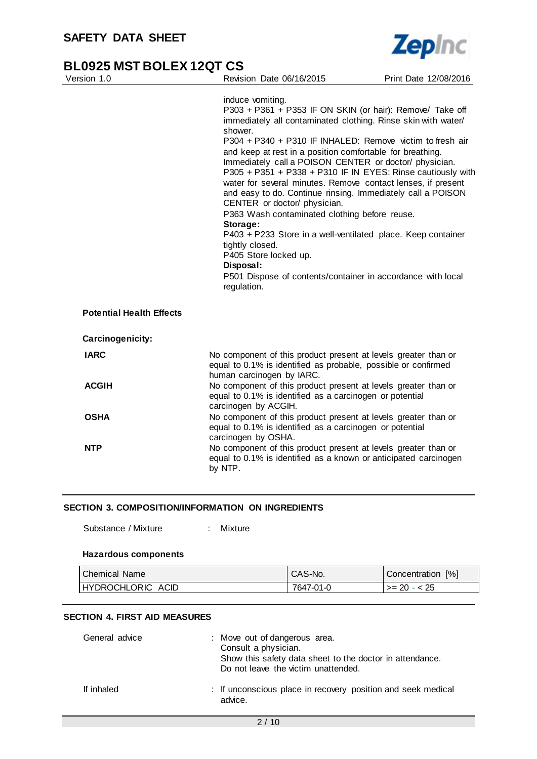

| Version 1.0                     | Revision Date 06/16/2015                                                                                                                                                                                                                                                                                                                                                                                                                                                                                                                                                                                                                                                                                                                                                                                                                        | Print Date 12/08/2016 |
|---------------------------------|-------------------------------------------------------------------------------------------------------------------------------------------------------------------------------------------------------------------------------------------------------------------------------------------------------------------------------------------------------------------------------------------------------------------------------------------------------------------------------------------------------------------------------------------------------------------------------------------------------------------------------------------------------------------------------------------------------------------------------------------------------------------------------------------------------------------------------------------------|-----------------------|
| <b>Potential Health Effects</b> | induce vomiting.<br>P303 + P361 + P353 IF ON SKIN (or hair): Remove/ Take off<br>immediately all contaminated clothing. Rinse skin with water/<br>shower.<br>P304 + P340 + P310 IF INHALED: Remove victim to fresh air<br>and keep at rest in a position comfortable for breathing.<br>Immediately call a POISON CENTER or doctor/ physician.<br>P305 + P351 + P338 + P310 IF IN EYES: Rinse cautiously with<br>water for several minutes. Remove contact lenses, if present<br>and easy to do. Continue rinsing. Immediately call a POISON<br>CENTER or doctor/ physician.<br>P363 Wash contaminated clothing before reuse.<br>Storage:<br>P403 + P233 Store in a well-ventilated place. Keep container<br>tightly closed.<br>P405 Store locked up.<br>Disposal:<br>P501 Dispose of contents/container in accordance with local<br>regulation. |                       |
| Carcinogenicity:                |                                                                                                                                                                                                                                                                                                                                                                                                                                                                                                                                                                                                                                                                                                                                                                                                                                                 |                       |
| <b>IARC</b>                     | No component of this product present at levels greater than or<br>equal to 0.1% is identified as probable, possible or confirmed<br>human carcinogen by IARC.                                                                                                                                                                                                                                                                                                                                                                                                                                                                                                                                                                                                                                                                                   |                       |
| <b>ACGIH</b>                    | No component of this product present at levels greater than or<br>equal to 0.1% is identified as a carcinogen or potential<br>carcinogen by ACGIH.                                                                                                                                                                                                                                                                                                                                                                                                                                                                                                                                                                                                                                                                                              |                       |
| <b>OSHA</b>                     | No component of this product present at levels greater than or<br>equal to 0.1% is identified as a carcinogen or potential<br>carcinogen by OSHA.                                                                                                                                                                                                                                                                                                                                                                                                                                                                                                                                                                                                                                                                                               |                       |
| <b>NTP</b>                      | No component of this product present at levels greater than or<br>equal to 0.1% is identified as a known or anticipated carcinogen<br>by NTP.                                                                                                                                                                                                                                                                                                                                                                                                                                                                                                                                                                                                                                                                                                   |                       |

#### **SECTION 3. COMPOSITION/INFORMATION ON INGREDIENTS**

Substance / Mixture : Mixture

#### **Hazardous components**

| l Chemical Name   | CAS-No.   | Concentration [%] |
|-------------------|-----------|-------------------|
| HYDROCHLORIC ACID | 7647-01-0 | l >= 20 - < 25    |

# **SECTION 4. FIRST AID MEASURES**

| General advice | : Move out of dangerous area.<br>Consult a physician.<br>Show this safety data sheet to the doctor in attendance.<br>Do not leave the victim unattended. |
|----------------|----------------------------------------------------------------------------------------------------------------------------------------------------------|
| If inhaled     | : If unconscious place in recovery position and seek medical<br>advice.                                                                                  |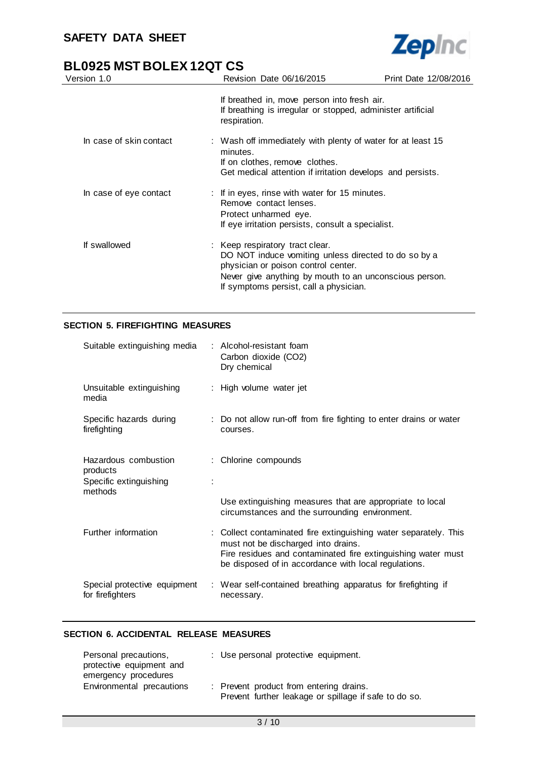

| Version 1.0             | Revision Date 06/16/2015                                                                                                                                                                                                           | Print Date 12/08/2016 |
|-------------------------|------------------------------------------------------------------------------------------------------------------------------------------------------------------------------------------------------------------------------------|-----------------------|
|                         | If breathed in, move person into fresh air.<br>If breathing is irregular or stopped, administer artificial<br>respiration.                                                                                                         |                       |
| In case of skin contact | : Wash off immediately with plenty of water for at least 15<br>minutes.<br>If on clothes, remove clothes.<br>Get medical attention if irritation develops and persists.                                                            |                       |
| In case of eye contact  | : If in eyes, rinse with water for 15 minutes.<br>Remove contact lenses.<br>Protect unharmed eye.<br>If eye irritation persists, consult a specialist.                                                                             |                       |
| If swallowed            | : Keep respiratory tract clear.<br>DO NOT induce vomiting unless directed to do so by a<br>physician or poison control center.<br>Never give anything by mouth to an unconscious person.<br>If symptoms persist, call a physician. |                       |

## **SECTION 5. FIREFIGHTING MEASURES**

| Suitable extinguishing media                                          | : Alcohol-resistant foam<br>Carbon dioxide (CO2)<br>Dry chemical                                                                                                                                                                |
|-----------------------------------------------------------------------|---------------------------------------------------------------------------------------------------------------------------------------------------------------------------------------------------------------------------------|
| Unsuitable extinguishing<br>media                                     | : High volume water jet                                                                                                                                                                                                         |
| Specific hazards during<br>firefighting                               | : Do not allow run-off from fire fighting to enter drains or water<br>courses.                                                                                                                                                  |
| Hazardous combustion<br>products<br>Specific extinguishing<br>methods | : Chlorine compounds                                                                                                                                                                                                            |
|                                                                       | Use extinguishing measures that are appropriate to local<br>circumstances and the surrounding environment.                                                                                                                      |
| Further information                                                   | : Collect contaminated fire extinguishing water separately. This<br>must not be discharged into drains.<br>Fire residues and contaminated fire extinguishing water must<br>be disposed of in accordance with local regulations. |
| Special protective equipment<br>for firefighters                      | : Wear self-contained breathing apparatus for firefighting if<br>necessary.                                                                                                                                                     |

## **SECTION 6. ACCIDENTAL RELEASE MEASURES**

| Personal precautions,     | : Use personal protective equipment.                  |
|---------------------------|-------------------------------------------------------|
| protective equipment and  |                                                       |
| emergency procedures      |                                                       |
| Environmental precautions | : Prevent product from entering drains.               |
|                           | Prevent further leakage or spillage if safe to do so. |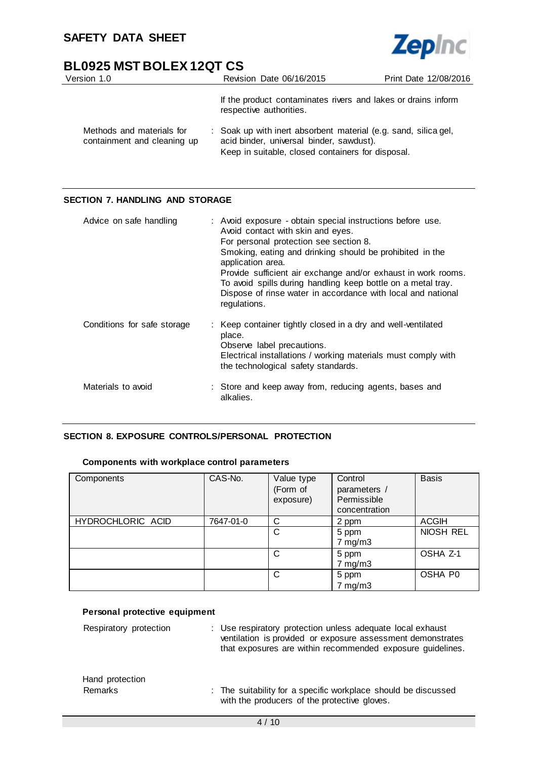

| Version 1.0                                              | Revision Date 06/16/2015                                                                                                                                         | Print Date 12/08/2016 |
|----------------------------------------------------------|------------------------------------------------------------------------------------------------------------------------------------------------------------------|-----------------------|
|                                                          | If the product contaminates rivers and lakes or drains inform<br>respective authorities.                                                                         |                       |
| Methods and materials for<br>containment and cleaning up | : Soak up with inert absorbent material (e.g. sand, silica gel,<br>acid binder, universal binder, sawdust).<br>Keep in suitable, closed containers for disposal. |                       |

# **SECTION 7. HANDLING AND STORAGE**

| Advice on safe handling     | : Avoid exposure - obtain special instructions before use.<br>Avoid contact with skin and eyes.<br>For personal protection see section 8.<br>Smoking, eating and drinking should be prohibited in the<br>application area.<br>Provide sufficient air exchange and/or exhaust in work rooms.<br>To avoid spills during handling keep bottle on a metal tray.<br>Dispose of rinse water in accordance with local and national<br>regulations. |
|-----------------------------|---------------------------------------------------------------------------------------------------------------------------------------------------------------------------------------------------------------------------------------------------------------------------------------------------------------------------------------------------------------------------------------------------------------------------------------------|
| Conditions for safe storage | : Keep container tightly closed in a dry and well-ventilated<br>place.<br>Observe label precautions.<br>Electrical installations / working materials must comply with<br>the technological safety standards.                                                                                                                                                                                                                                |
| Materials to avoid          | : Store and keep away from, reducing agents, bases and<br>alkalies.                                                                                                                                                                                                                                                                                                                                                                         |

## **SECTION 8. EXPOSURE CONTROLS/PERSONAL PROTECTION**

## **Components with workplace control parameters**

| Components        | CAS-No.   | Value type<br>(Form of<br>exposure) | Control<br>parameters /<br>Permissible<br>concentration | <b>Basis</b> |
|-------------------|-----------|-------------------------------------|---------------------------------------------------------|--------------|
| HYDROCHLORIC ACID | 7647-01-0 | C                                   | 2 ppm                                                   | <b>ACGIH</b> |
|                   |           | C                                   | 5 ppm<br>$7 \text{ mg/m}$ 3                             | NIOSH REL    |
|                   |           | C                                   | 5 ppm<br>$7$ mg/m $3$                                   | OSHA Z-1     |
|                   |           | C                                   | 5 ppm<br>$7$ mg/m $3$                                   | OSHA P0      |

## **Personal protective equipment**

| Respiratory protection     | : Use respiratory protection unless adequate local exhaust<br>ventilation is provided or exposure assessment demonstrates<br>that exposures are within recommended exposure guidelines. |
|----------------------------|-----------------------------------------------------------------------------------------------------------------------------------------------------------------------------------------|
| Hand protection<br>Remarks | : The suitability for a specific workplace should be discussed<br>with the producers of the protective gloves.                                                                          |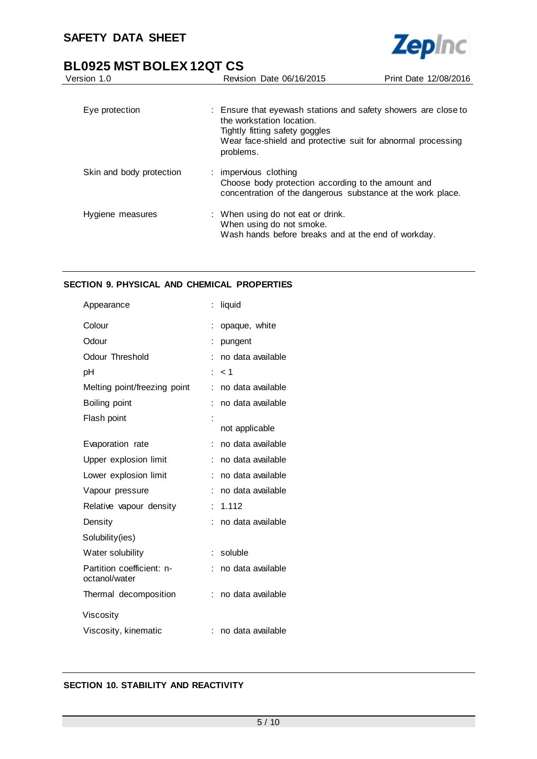

| Version 1.0              | Revision Date 06/16/2015                                                                                                                                                                                   | Print Date 12/08/2016 |
|--------------------------|------------------------------------------------------------------------------------------------------------------------------------------------------------------------------------------------------------|-----------------------|
|                          |                                                                                                                                                                                                            |                       |
| Eye protection           | : Ensure that eyewash stations and safety showers are close to<br>the workstation location.<br>Tightly fitting safety goggles<br>Wear face-shield and protective suit for abnormal processing<br>problems. |                       |
| Skin and body protection | : impervious clothing<br>Choose body protection according to the amount and<br>concentration of the dangerous substance at the work place.                                                                 |                       |
| Hygiene measures         | : When using do not eat or drink.<br>When using do not smoke.<br>Wash hands before breaks and at the end of workday.                                                                                       |                       |

# **SECTION 9. PHYSICAL AND CHEMICAL PROPERTIES**

| Appearance                                 |   | liquid            |
|--------------------------------------------|---|-------------------|
| Colour                                     |   | opaque, white     |
| Odour                                      |   | pungent           |
| Odour Threshold                            |   | no data available |
| рH                                         |   | $<$ 1             |
| Melting point/freezing point               |   | no data available |
| Boiling point                              |   | no data available |
| Flash point                                |   |                   |
|                                            |   | not applicable    |
| Evaporation rate                           |   | no data available |
| Upper explosion limit                      |   | no data available |
| Lower explosion limit                      |   | no data available |
| Vapour pressure                            |   | no data available |
| Relative vapour density                    |   | 1.112             |
| Density                                    |   | no data available |
| Solubility(ies)                            |   |                   |
| Water solubility                           | ÷ | soluble           |
| Partition coefficient: n-<br>octanol/water |   | no data available |
| Thermal decomposition                      |   | no data available |
| Viscosity                                  |   |                   |
| Viscosity, kinematic                       |   | no data available |

# **SECTION 10. STABILITY AND REACTIVITY**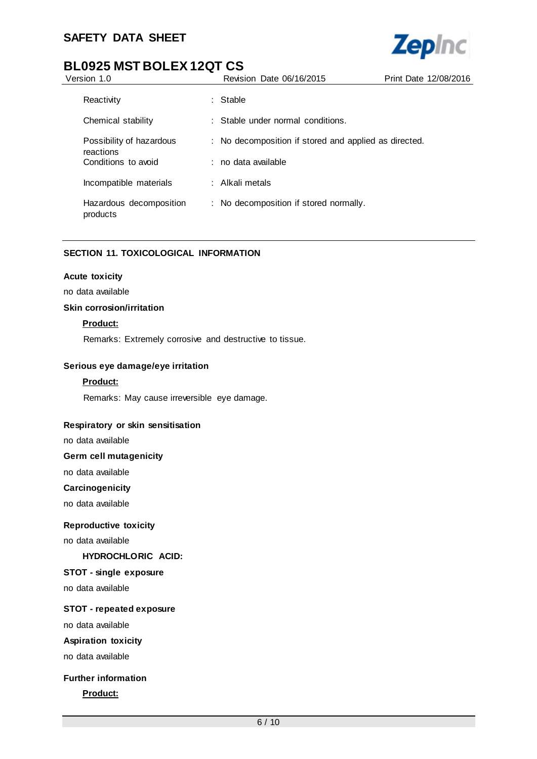

| Version 1.0                           | Revision Date 06/16/2015                              | Print Date 12/08/2016 |
|---------------------------------------|-------------------------------------------------------|-----------------------|
| Reactivity                            | : Stable                                              |                       |
| Chemical stability                    | : Stable under normal conditions.                     |                       |
| Possibility of hazardous<br>reactions | : No decomposition if stored and applied as directed. |                       |
| Conditions to avoid                   | : no data available                                   |                       |
| Incompatible materials                | : Alkali metals                                       |                       |
| Hazardous decomposition<br>products   | : No decomposition if stored normally.                |                       |

# **SECTION 11. TOXICOLOGICAL INFORMATION**

#### **Acute toxicity**

no data available

#### **Skin corrosion/irritation**

# **Product:**

Remarks: Extremely corrosive and destructive to tissue.

#### **Serious eye damage/eye irritation**

#### **Product:**

Remarks: May cause irreversible eye damage.

#### **Respiratory or skin sensitisation**

no data available

#### **Germ cell mutagenicity**

no data available

#### **Carcinogenicity**

no data available

#### **Reproductive toxicity**

no data available

**HYDROCHLORIC ACID:**

## **STOT - single exposure**

no data available

# **STOT - repeated exposure**

no data available

# **Aspiration toxicity**

no data available

#### **Further information**

**Product:**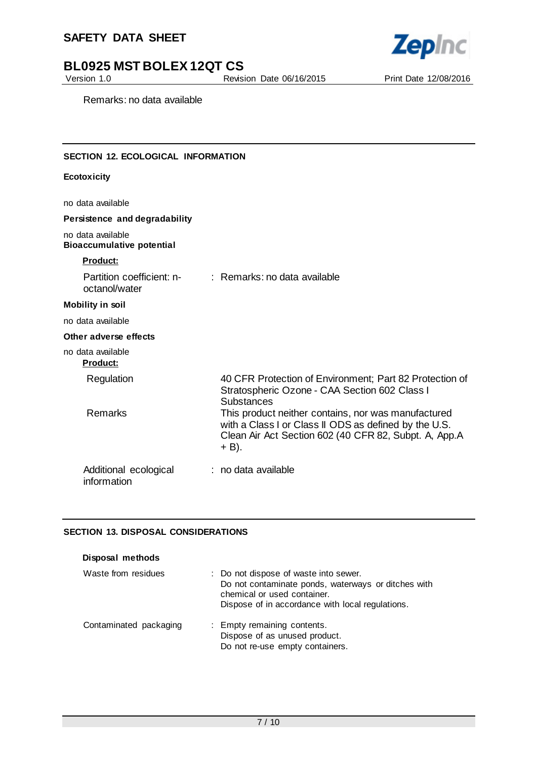

# **BL0925 MST BOLEX 12QT CS**<br>Version 1.0<br>Revisi

Revision Date 06/16/2015 Print Date 12/08/2016

Remarks: no data available

# **SECTION 12. ECOLOGICAL INFORMATION**

#### **Ecotoxicity**

no data available

# **Persistence and degradability**

no data available **Bioaccumulative potential**

#### **Product:**

| Partition coefficient: n-<br>octanol/water | $\therefore$ Remarks: no data available                                                                                                                                        |
|--------------------------------------------|--------------------------------------------------------------------------------------------------------------------------------------------------------------------------------|
| <b>Mobility in soil</b>                    |                                                                                                                                                                                |
| no data available                          |                                                                                                                                                                                |
| Other adverse effects                      |                                                                                                                                                                                |
| no data available<br><b>Product:</b>       |                                                                                                                                                                                |
| Regulation                                 | 40 CFR Protection of Environment; Part 82 Protection of<br>Stratospheric Ozone - CAA Section 602 Class I<br><b>Substances</b>                                                  |
| <b>Remarks</b>                             | This product neither contains, nor was manufactured<br>with a Class I or Class II ODS as defined by the U.S.<br>Clean Air Act Section 602 (40 CFR 82, Subpt. A, App.A<br>+ B). |
| Additional ecological<br>information       | : no data available                                                                                                                                                            |

## **SECTION 13. DISPOSAL CONSIDERATIONS**

| Disposal methods       |                                                                                                                                                                                 |
|------------------------|---------------------------------------------------------------------------------------------------------------------------------------------------------------------------------|
| Waste from residues    | : Do not dispose of waste into sewer.<br>Do not contaminate ponds, waterways or ditches with<br>chemical or used container.<br>Dispose of in accordance with local regulations. |
| Contaminated packaging | : Empty remaining contents.<br>Dispose of as unused product.<br>Do not re-use empty containers.                                                                                 |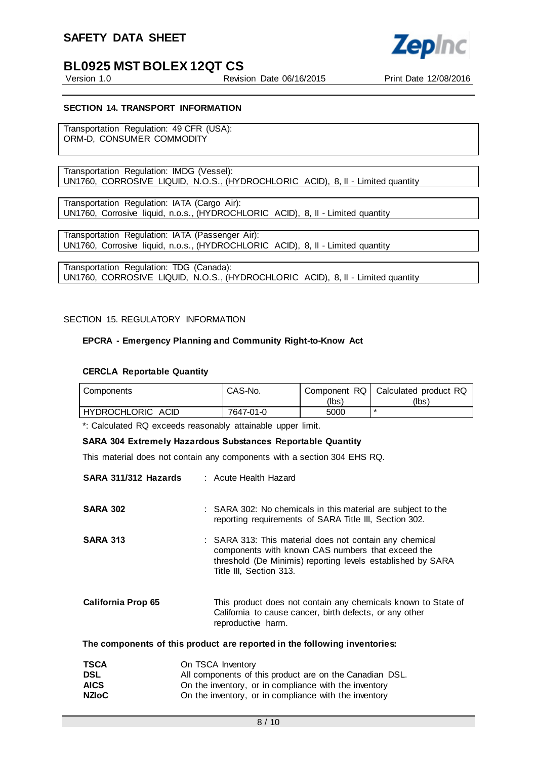

Version 1.0 Revision Date 06/16/2015 Print Date 12/08/2016

#### **SECTION 14. TRANSPORT INFORMATION**

Transportation Regulation: 49 CFR (USA): ORM-D, CONSUMER COMMODITY

Transportation Regulation: IMDG (Vessel): UN1760, CORROSIVE LIQUID, N.O.S., (HYDROCHLORIC ACID), 8, II - Limited quantity

Transportation Regulation: IATA (Cargo Air): UN1760, Corrosive liquid, n.o.s., (HYDROCHLORIC ACID), 8, II - Limited quantity

Transportation Regulation: IATA (Passenger Air): UN1760, Corrosive liquid, n.o.s., (HYDROCHLORIC ACID), 8, II - Limited quantity

Transportation Regulation: TDG (Canada): UN1760, CORROSIVE LIQUID, N.O.S., (HYDROCHLORIC ACID), 8, II - Limited quantity

#### SECTION 15. REGULATORY INFORMATION

#### **EPCRA - Emergency Planning and Community Right-to-Know Act**

#### **CERCLA Reportable Quantity**

| Components          | CAS-No.   |       | Component RQ   Calculated product RQ |
|---------------------|-----------|-------|--------------------------------------|
|                     |           | (lbs) | (Ibs)                                |
| I HYDROCHLORIC ACID | 7647-01-0 | 5000  | $\ast$                               |

\*: Calculated RQ exceeds reasonably attainable upper limit.

#### **SARA 304 Extremely Hazardous Substances Reportable Quantity**

This material does not contain any components with a section 304 EHS RQ.

| SARA 311/312 Hazards      | : Acute Health Hazard                                                                                                                                                                                  |
|---------------------------|--------------------------------------------------------------------------------------------------------------------------------------------------------------------------------------------------------|
| <b>SARA 302</b>           | : SARA 302: No chemicals in this material are subject to the<br>reporting requirements of SARA Title III, Section 302.                                                                                 |
| <b>SARA 313</b>           | : SARA 313: This material does not contain any chemical<br>components with known CAS numbers that exceed the<br>threshold (De Minimis) reporting levels established by SARA<br>Title III, Section 313. |
| <b>California Prop 65</b> | This product does not contain any chemicals known to State of<br>California to cause cancer, birth defects, or any other<br>reproductive harm.                                                         |
|                           | The components of this product are reported in the following inventories:                                                                                                                              |
| <b>TSCA</b><br>DSL        | On TSCA Inventory<br>All components of this product are on the Canadian DSL.                                                                                                                           |

| <b>DSL</b>   | All components of this product are on the Canadian DSL. |
|--------------|---------------------------------------------------------|
| <b>AICS</b>  | On the inventory, or in compliance with the inventory   |
| <b>NZIoC</b> | On the inventory, or in compliance with the inventory   |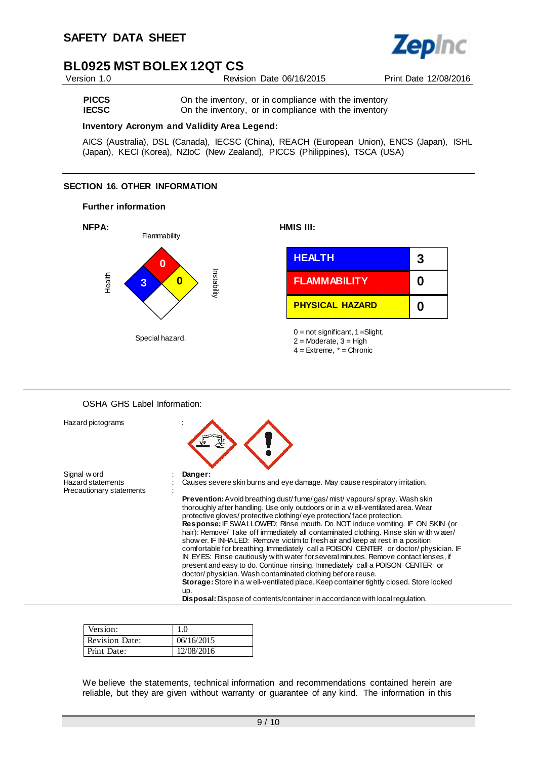

Version 1.0 Revision Date 06/16/2015 Print Date 12/08/2016

**PICCS** On the inventory, or in compliance with the inventory<br>**IECSC** On the inventory, or in compliance with the inventory On the inventory, or in compliance with the inventory

#### **Inventory Acronym and Validity Area Legend:**

AICS (Australia), DSL (Canada), IECSC (China), REACH (European Union), ENCS (Japan), ISHL (Japan), KECI (Korea), NZIoC (New Zealand), PICCS (Philippines), TSCA (USA)

# **SECTION 16. OTHER INFORMATION**

#### **Further information**



## OSHA GHS Label Information:

| Hazard pictograms                                                   |                                                                                                                                                                      |
|---------------------------------------------------------------------|----------------------------------------------------------------------------------------------------------------------------------------------------------------------|
| Signal word<br><b>Hazard statements</b><br>Precautionary statements | Danger:<br>Causes severe skin burns and eye damage. May cause respiratory irritation.                                                                                |
|                                                                     | <b>Prevention:</b> Avoid breathing dust/fume/gas/mist/vapours/spray. Wash skin<br>thoroughly after handling. Use only outdoors or in a well-ventilated area. Wear    |
|                                                                     | protective gloves/ protective clothing/ eye protection/face protection.                                                                                              |
|                                                                     | <b>Response:</b> IF SWALLOWED: Rinse mouth. Do NOT induce vomiting. IF ON SKIN (or                                                                                   |
|                                                                     | hair): Remove/ Take off immediately all contaminated clothing. Rinse skin w ith w ater/                                                                              |
|                                                                     | show er. IF INHALED: Remove victim to fresh air and keep at rest in a position                                                                                       |
|                                                                     | comfortable for breathing. Immediately call a POISON CENTER or doctor/physician. IF                                                                                  |
|                                                                     | IN EYES: Rinse cautiously with water for several minutes. Remove contact lenses, if<br>present and easy to do. Continue rinsing. Immediately call a POISON CENTER or |
|                                                                     | doctor/physician. Wash contaminated clothing before reuse.                                                                                                           |
|                                                                     | Storage: Store in a w ell-ventilated place. Keep container tightly closed. Store locked                                                                              |
|                                                                     | up.                                                                                                                                                                  |
|                                                                     | <b>Disposal:</b> Dispose of contents/container in accordance with local regulation.                                                                                  |

| Version:              |            |
|-----------------------|------------|
| <b>Revision Date:</b> | 06/16/2015 |
| Print Date:           | 12/08/2016 |

We believe the statements, technical information and recommendations contained herein are reliable, but they are given without warranty or guarantee of any kind. The information in this